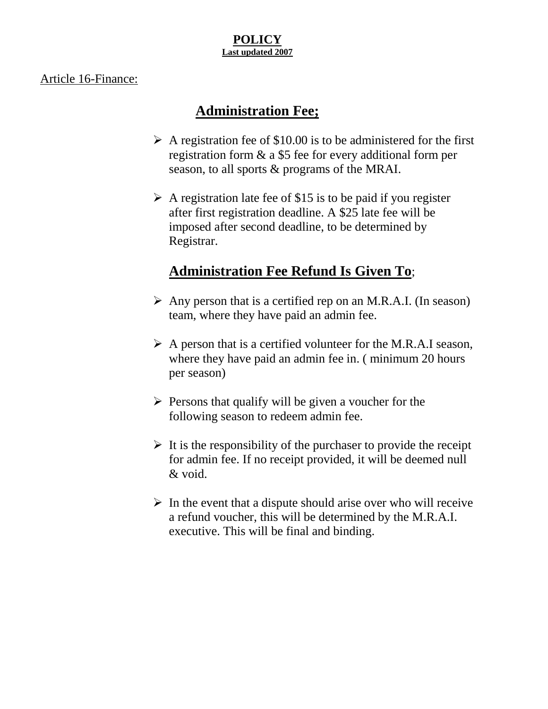#### **POLICY Last updated 2007**

#### Article 16-Finance:

#### **Administration Fee;**

- $\triangleright$  A registration fee of \$10.00 is to be administered for the first registration form & a \$5 fee for every additional form per season, to all sports & programs of the MRAI.
- $\triangleright$  A registration late fee of \$15 is to be paid if you register after first registration deadline. A \$25 late fee will be imposed after second deadline, to be determined by Registrar.

### **Administration Fee Refund Is Given To**;

- $\triangleright$  Any person that is a certified rep on an M.R.A.I. (In season) team, where they have paid an admin fee.
- $\triangleright$  A person that is a certified volunteer for the M.R.A.I season, where they have paid an admin fee in. (minimum 20 hours per season)
- $\triangleright$  Persons that qualify will be given a voucher for the following season to redeem admin fee.
- $\triangleright$  It is the responsibility of the purchaser to provide the receipt for admin fee. If no receipt provided, it will be deemed null & void.
- $\triangleright$  In the event that a dispute should arise over who will receive a refund voucher, this will be determined by the M.R.A.I. executive. This will be final and binding.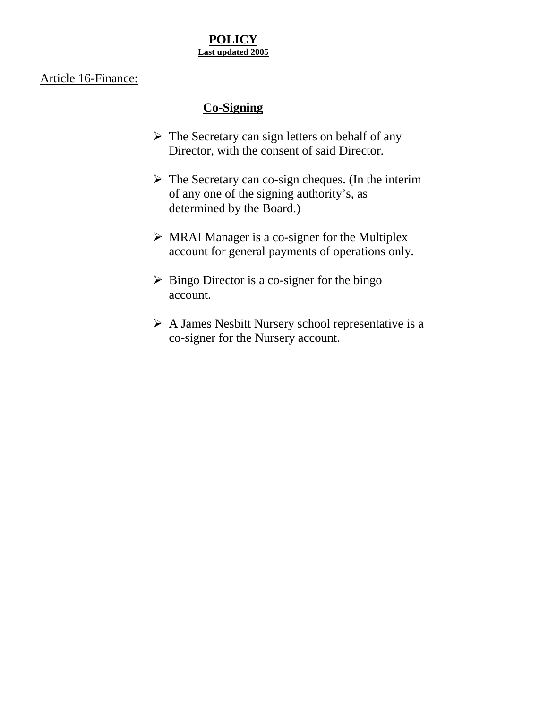#### **POLICY Last updated 2005**

#### Article 16-Finance:

#### **Co-Signing**

- $\triangleright$  The Secretary can sign letters on behalf of any Director, with the consent of said Director.
- $\triangleright$  The Secretary can co-sign cheques. (In the interim of any one of the signing authority's, as determined by the Board.)
- $\triangleright$  MRAI Manager is a co-signer for the Multiplex account for general payments of operations only.
- $\triangleright$  Bingo Director is a co-signer for the bingo account.
- A James Nesbitt Nursery school representative is a co-signer for the Nursery account.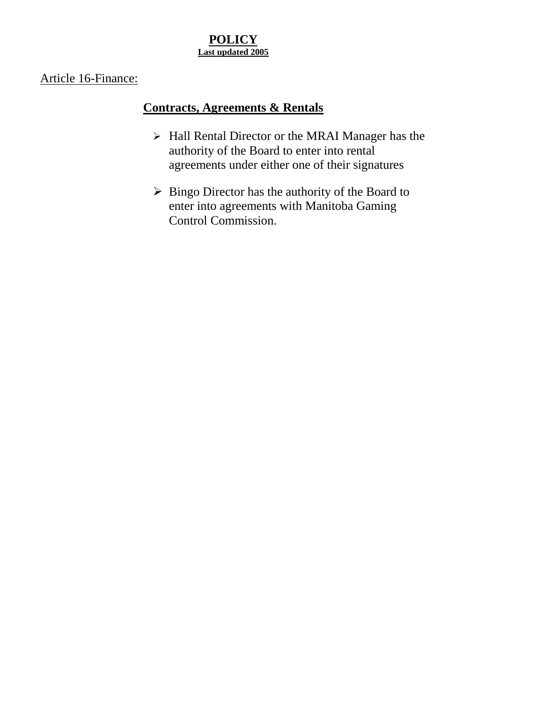#### **POLICY Last updated 2005**

#### Article 16-Finance:

#### **Contracts, Agreements & Rentals**

- > Hall Rental Director or the MRAI Manager has the authority of the Board to enter into rental agreements under either one of their signatures
- $\triangleright$  Bingo Director has the authority of the Board to enter into agreements with Manitoba Gaming Control Commission.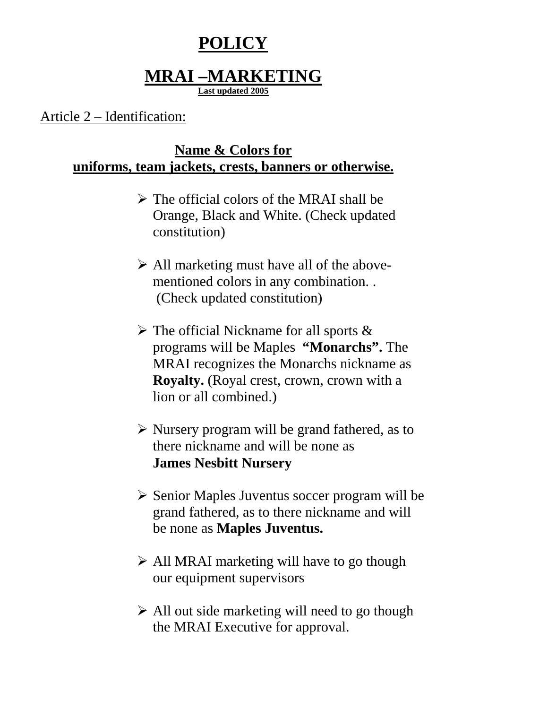# **POLICY**

## **MRAI –MARKETING**

**Last updated 2005**

#### Article 2 – Identification:

### **Name & Colors for uniforms, team jackets, crests, banners or otherwise.**

- $\triangleright$  The official colors of the MRAI shall be Orange, Black and White. (Check updated constitution)
- $\triangleright$  All marketing must have all of the abovementioned colors in any combination. . (Check updated constitution)
- $\triangleright$  The official Nickname for all sports & programs will be Maples **"Monarchs".** The MRAI recognizes the Monarchs nickname as **Royalty.** (Royal crest, crown, crown with a lion or all combined.)
- $\triangleright$  Nursery program will be grand fathered, as to there nickname and will be none as **James Nesbitt Nursery**
- $\triangleright$  Senior Maples Juventus soccer program will be grand fathered, as to there nickname and will be none as **Maples Juventus.**
- $\triangleright$  All MRAI marketing will have to go though our equipment supervisors
- $\triangleright$  All out side marketing will need to go though the MRAI Executive for approval.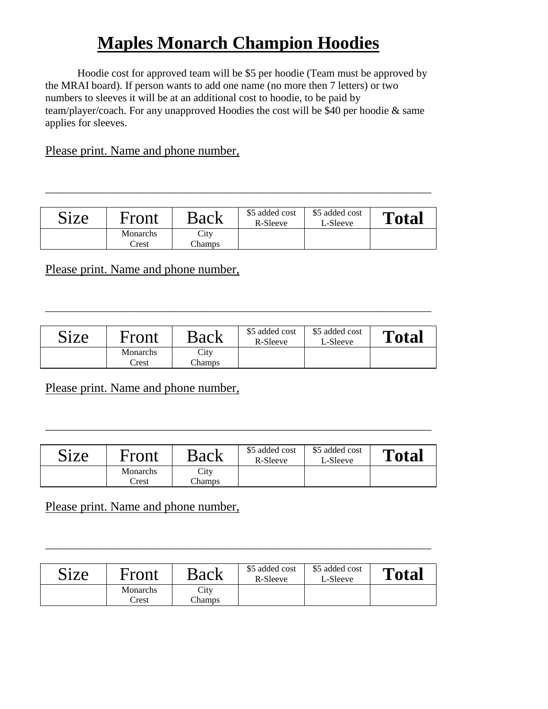# **Maples Monarch Champion Hoodies**

Hoodie cost for approved team will be \$5 per hoodie (Team must be approved by the MRAI board). If person wants to add one name (no more then 7 letters) or two numbers to sleeves it will be at an additional cost to hoodie, to be paid by team/player/coach. For any unapproved Hoodies the cost will be \$40 per hoodie & same applies for sleeves.

#### Please print. Name and phone number,

| Size | Front                     | Back           | \$5 added cost<br>R-Sleeve | \$5 added cost<br>L-Sleeve | <b>Total</b> |
|------|---------------------------|----------------|----------------------------|----------------------------|--------------|
|      | Monarchs<br>$\text{Test}$ | City<br>Champs |                            |                            |              |

\_\_\_\_\_\_\_\_\_\_\_\_\_\_\_\_\_\_\_\_\_\_\_\_\_\_\_\_\_\_\_\_\_\_\_\_\_\_\_\_\_\_\_\_\_\_\_\_\_\_\_\_\_\_\_\_\_\_\_\_\_\_\_\_\_\_\_\_\_\_\_\_

Please print. Name and phone number,

| Size | Front             | Back           | \$5 added cost<br>R-Sleeve | \$5 added cost<br>L-Sleeve | <b>Total</b> |
|------|-------------------|----------------|----------------------------|----------------------------|--------------|
|      | Monarchs<br>Crest | City<br>Champs |                            |                            |              |

\_\_\_\_\_\_\_\_\_\_\_\_\_\_\_\_\_\_\_\_\_\_\_\_\_\_\_\_\_\_\_\_\_\_\_\_\_\_\_\_\_\_\_\_\_\_\_\_\_\_\_\_\_\_\_\_\_\_\_\_\_\_\_\_\_\_\_\_\_\_\_\_

Please print. Name and phone number,

| <b>Size</b> | Front                      | Back                  | \$5 added cost<br>R-Sleeve | \$5 added cost<br>L-Sleeve | <b>Total</b> |
|-------------|----------------------------|-----------------------|----------------------------|----------------------------|--------------|
|             | Monarchs<br>$\text{Crest}$ | City<br><b>Champs</b> |                            |                            |              |

\_\_\_\_\_\_\_\_\_\_\_\_\_\_\_\_\_\_\_\_\_\_\_\_\_\_\_\_\_\_\_\_\_\_\_\_\_\_\_\_\_\_\_\_\_\_\_\_\_\_\_\_\_\_\_\_\_\_\_\_\_\_\_\_\_\_\_\_\_\_\_\_

Please print. Name and phone number,

| Size | Front             | Back           | \$5 added cost<br>R-Sleeve | \$5 added cost<br>L-Sleeve | Total |
|------|-------------------|----------------|----------------------------|----------------------------|-------|
|      | Monarchs<br>Trest | City<br>Champs |                            |                            |       |

\_\_\_\_\_\_\_\_\_\_\_\_\_\_\_\_\_\_\_\_\_\_\_\_\_\_\_\_\_\_\_\_\_\_\_\_\_\_\_\_\_\_\_\_\_\_\_\_\_\_\_\_\_\_\_\_\_\_\_\_\_\_\_\_\_\_\_\_\_\_\_\_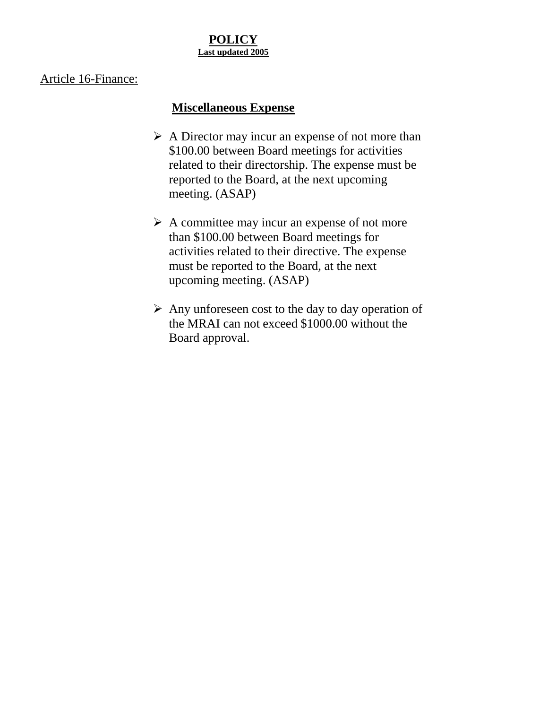#### **POLICY Last updated 2005**

#### Article 16-Finance:

#### **Miscellaneous Expense**

- $\triangleright$  A Director may incur an expense of not more than \$100.00 between Board meetings for activities related to their directorship. The expense must be reported to the Board, at the next upcoming meeting. (ASAP)
- $\triangleright$  A committee may incur an expense of not more than \$100.00 between Board meetings for activities related to their directive. The expense must be reported to the Board, at the next upcoming meeting. (ASAP)
- $\triangleright$  Any unforeseen cost to the day to day operation of the MRAI can not exceed \$1000.00 without the Board approval.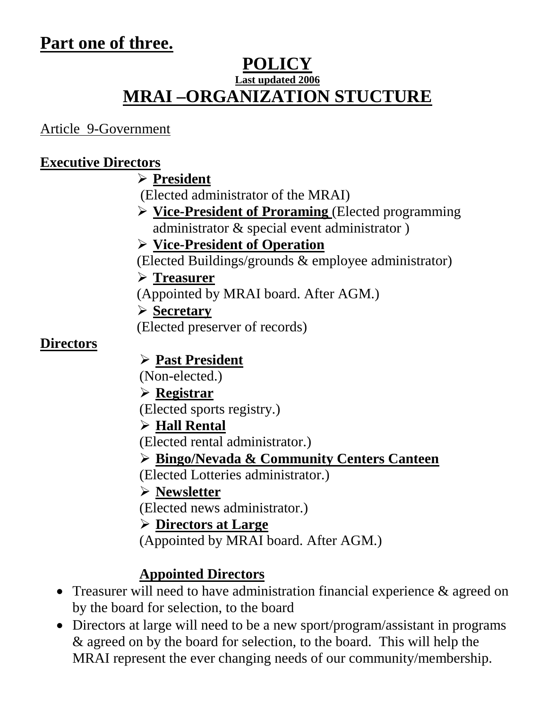## **Part one of three.**

## **POLICY Last updated 2006 MRAI –ORGANIZATION STUCTURE**

Article 9-Government

### **Executive Directors**

## **President**

(Elected administrator of the MRAI)

 **Vice-President of Proraming** (Elected programming administrator & special event administrator )

### **Vice-President of Operation**

(Elected Buildings/grounds & employee administrator)

### **Treasurer**

(Appointed by MRAI board. After AGM.)

## **Secretary**

(Elected preserver of records)

### **Directors**

### **Past President**

(Non-elected.)

### **Registrar**

(Elected sports registry.)

### **Hall Rental**

(Elected rental administrator.)

### **Bingo/Nevada & Community Centers Canteen**

(Elected Lotteries administrator.)

### **Newsletter**

(Elected news administrator.)

### **Directors at Large**

(Appointed by MRAI board. After AGM.)

## **Appointed Directors**

- Treasurer will need to have administration financial experience & agreed on by the board for selection, to the board
- Directors at large will need to be a new sport/program/assistant in programs & agreed on by the board for selection, to the board. This will help the MRAI represent the ever changing needs of our community/membership.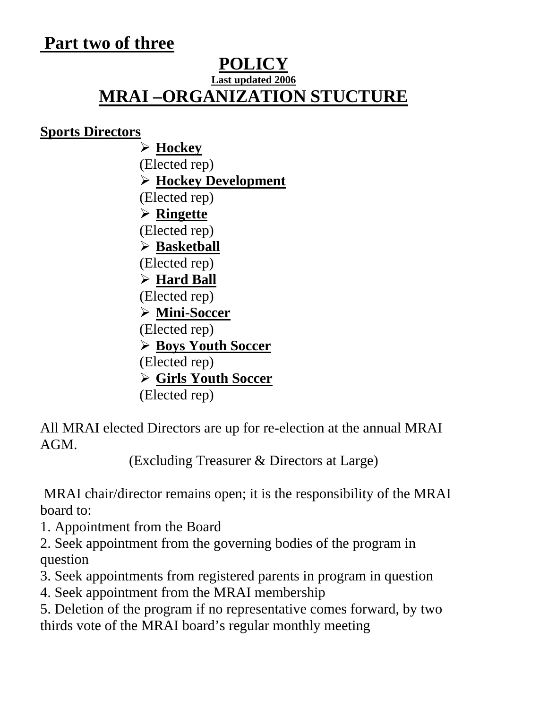## **Part two of three**

#### **POLICY Last updated 2006**

# **MRAI –ORGANIZATION STUCTURE**

#### **Sports Directors**

 **Hockey** (Elected rep) **Hockey Development** (Elected rep) **Ringette** (Elected rep) **Basketball** (Elected rep) **Hard Ball** (Elected rep) **Mini-Soccer** (Elected rep) **Boys Youth Soccer** (Elected rep) **Girls Youth Soccer** (Elected rep)

All MRAI elected Directors are up for re-election at the annual MRAI AGM.

(Excluding Treasurer & Directors at Large)

 MRAI chair/director remains open; it is the responsibility of the MRAI board to:

- 1. Appointment from the Board
- 2. Seek appointment from the governing bodies of the program in question
- 3. Seek appointments from registered parents in program in question
- 4. Seek appointment from the MRAI membership

5. Deletion of the program if no representative comes forward, by two thirds vote of the MRAI board's regular monthly meeting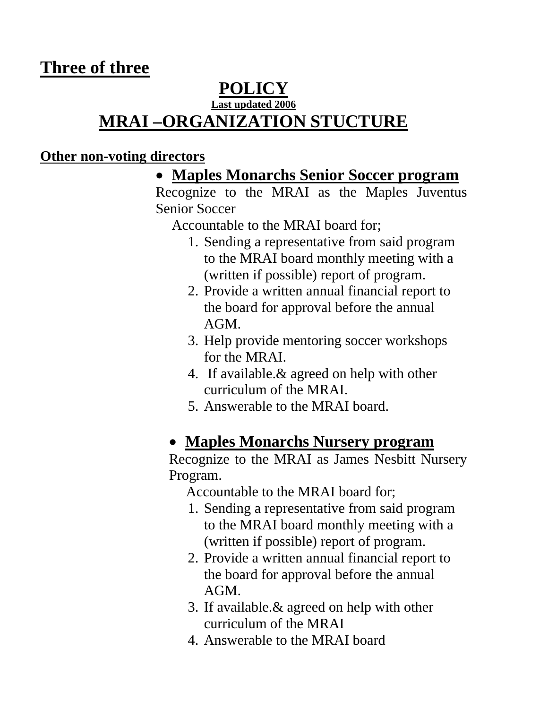### **Three of three**

## **POLICY**

#### **Last updated 2006 MRAI –ORGANIZATION STUCTURE**

#### **Other non-voting directors**

### **Maples Monarchs Senior Soccer program**

Recognize to the MRAI as the Maples Juventus Senior Soccer

Accountable to the MRAI board for;

- 1. Sending a representative from said program to the MRAI board monthly meeting with a (written if possible) report of program.
- 2. Provide a written annual financial report to the board for approval before the annual AGM.
- 3. Help provide mentoring soccer workshops for the MRAI.
- 4. If available.& agreed on help with other curriculum of the MRAI.
- 5. Answerable to the MRAI board.

### **Maples Monarchs Nursery program**

Recognize to the MRAI as James Nesbitt Nursery Program.

Accountable to the MRAI board for;

- 1. Sending a representative from said program to the MRAI board monthly meeting with a (written if possible) report of program.
- 2. Provide a written annual financial report to the board for approval before the annual AGM.
- 3. If available.& agreed on help with other curriculum of the MRAI
- 4. Answerable to the MRAI board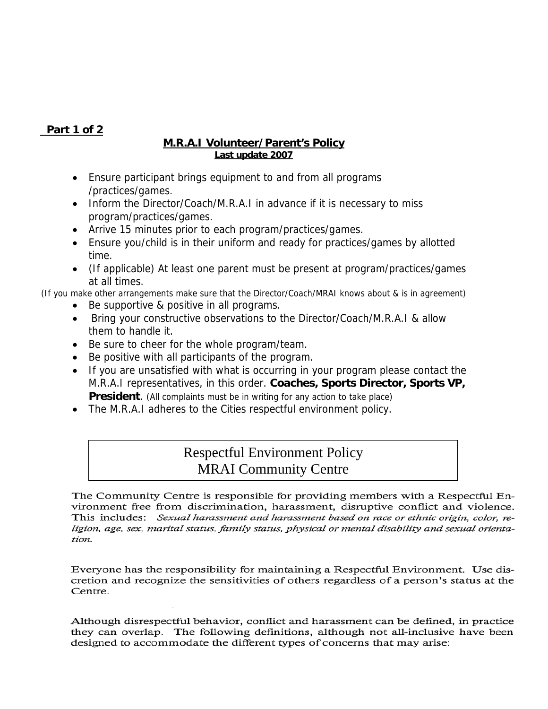#### **Part 1 of 2**

#### **M.R.A.I Volunteer/Parent's Policy Last update 2007**

- Ensure participant brings equipment to and from all programs /practices/games.
- Inform the Director/Coach/M.R.A.I in advance if it is necessary to miss program/practices/games.
- Arrive 15 minutes prior to each program/practices/games.
- Ensure you/child is in their uniform and ready for practices/games by allotted time.
- (If applicable) At least one parent must be present at program/practices/games at all times.

(If you make other arrangements make sure that the Director/Coach/MRAI knows about & is in agreement)

- Be supportive & positive in all programs.
- Bring your constructive observations to the Director/Coach/M.R.A.I & allow them to handle it.
- Be sure to cheer for the whole program/team.
- Be positive with all participants of the program.
- If you are unsatisfied with what is occurring in your program please contact the M.R.A.I representatives, in this order. **Coaches, Sports Director, Sports VP, President**. (All complaints must be in writing for any action to take place)
- The M.R.A.I adheres to the Cities respectful environment policy.

#### Respectful Environment Policy MRAI Community Centre

The Community Centre is responsible for providing members with a Respectful Environment free from discrimination, harassment, disruptive conflict and violence. This includes: Sexual harassment and harassment based on race or ethnic origin, color, religion, age, sex, marital status, family status, physical or mental disability and sexual orientation.

Everyone has the responsibility for maintaining a Respectful Environment. Use discretion and recognize the sensitivities of others regardless of a person's status at the Centre.

Although disrespectful behavior, conflict and harassment can be defined, in practice they can overlap. The following definitions, although not all-inclusive have been designed to accommodate the different types of concerns that may arise: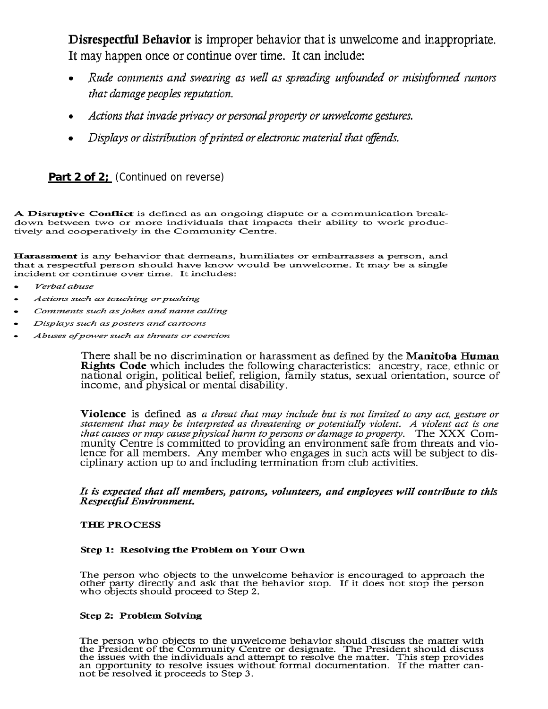Disrespectful Behavior is improper behavior that is unwelcome and inappropriate. It may happen once or continue over time. It can include:

- Rude comments and swearing as well as spreading unfounded or misinformed rumors that damage peoples reputation.
- Actions that invade privacy or personal property or unwelcome gestures.
- Displays or distribution of printed or electronic material that offends.

Part 2 of 2; (Continued on reverse)

A Disruptive Conflict is defined as an ongoing dispute or a communication breakdown between two or more individuals that impacts their ability to work productively and cooperatively in the Community Centre.

Harassment is any behavior that demeans, humiliates or embarrasses a person, and that a respectful person should have know would be unwelcome. It may be a single incident or continue over time. It includes:

- Verbal abuse
- Actions such as touching or pushing  $\bullet$
- Comments such as jokes and name calling
- Displays such as posters and cartoons
- Abuses of power such as threats or coercion

There shall be no discrimination or harassment as defined by the **Manitoba Human Rights Code** which includes the following characteristics: ancestry, race, ethnic or national origin, political belief, religion, family status, sexual orientation, source of income, and physical or mental disability.

**Violence** is defined as a threat that may include but is not limited to any act, gesture or statement that may be interpreted as threatening or potentially violent. A violent act is one that causes or may cause physical harm to persons or damage to property. The XXX Community Centre is committed to providing an environment safe from threats and violence for all members. Any member who engages in such acts will be subject to disciplinary action up to and including termination from club activities.

It is expected that all members, patrons, volunteers, and employees will contribute to this Respectful Environment.

#### **THE PROCESS**

#### Step 1: Resolving the Problem on Your Own

The person who objects to the unwelcome behavior is encouraged to approach the other party directly and ask that the behavior stop. If it does not stop the person who objects should proceed to Step 2.

#### **Step 2: Problem Solving**

The person who objects to the unwelcome behavior should discuss the matter with the President of the Community Centre or designate. The President should discuss the issues with the individuals and attempt to resolve the ma